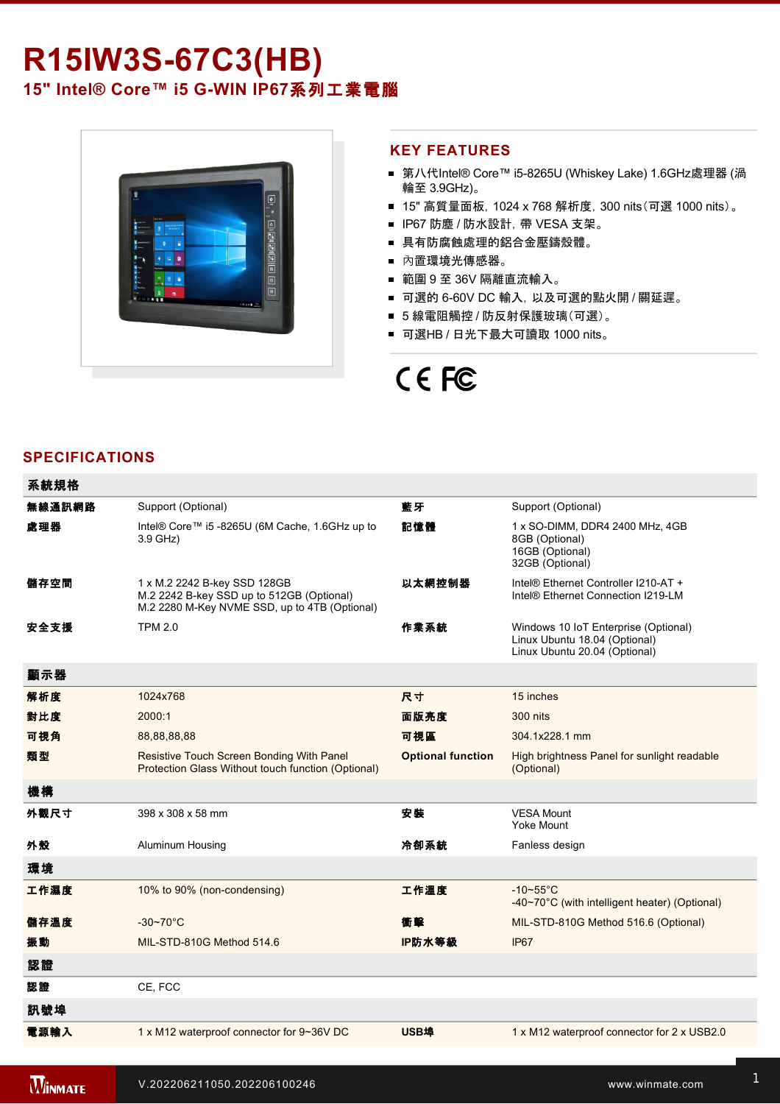# R15IW3S-67C3(HB) **15" Intel® Core™ i5 G-WIN IP67系列工業電腦**



#### **KEY FEATURES**

- 第八代Intel® Core™ i5-8265U (Whiskey Lake) 1.6GHz處理器 (渦 輪至 3.9GHz)。
- 15" 高質量面板, 1024 x 768 解析度, 300 nits(可選 1000 nits)。
- IP67 防塵 / 防水設計, 帶 VESA 支架。
- 具有防腐蝕處理的鋁合金壓鑄殼體。
- 內置環境光傳感器。
- 範圍 9 至 36V 隔離直流輸入。
- 可選的 6-60V DC 輸入, 以及可選的點火開 / 關延遲。
- 5 線電阻觸控 / 防反射保護玻璃(可選)。
- 可選HB / 日光下最大可讀取 1000 nits。

# CE FC

#### **SPECIFICATIONS**

| 系統規格   |                                                                                                                            |                          |                                                                                                        |
|--------|----------------------------------------------------------------------------------------------------------------------------|--------------------------|--------------------------------------------------------------------------------------------------------|
| 無線通訊網路 | Support (Optional)                                                                                                         | 藍牙                       | Support (Optional)                                                                                     |
| 處理器    | Intel® Core™ i5 -8265U (6M Cache, 1.6GHz up to<br>3.9 GHz)                                                                 | 記憶體                      | 1 x SO-DIMM, DDR4 2400 MHz, 4GB<br>8GB (Optional)<br>16GB (Optional)<br>32GB (Optional)                |
| 儲存空間   | 1 x M.2 2242 B-key SSD 128GB<br>M.2 2242 B-key SSD up to 512GB (Optional)<br>M.2 2280 M-Key NVME SSD, up to 4TB (Optional) | 以太網控制器                   | Intel® Ethernet Controller I210-AT +<br>Intel® Ethernet Connection I219-LM                             |
| 安全支援   | <b>TPM 2.0</b>                                                                                                             | 作業系統                     | Windows 10 IoT Enterprise (Optional)<br>Linux Ubuntu 18.04 (Optional)<br>Linux Ubuntu 20.04 (Optional) |
| 顯示器    |                                                                                                                            |                          |                                                                                                        |
| 解析度    | 1024x768                                                                                                                   | 尺寸                       | 15 inches                                                                                              |
| 對比度    | 2000:1                                                                                                                     | 面版亮度                     | 300 nits                                                                                               |
| 可視角    | 88,88,88,88                                                                                                                | 可視區                      | 304.1x228.1 mm                                                                                         |
| 類型     | Resistive Touch Screen Bonding With Panel<br>Protection Glass Without touch function (Optional)                            | <b>Optional function</b> | High brightness Panel for sunlight readable<br>(Optional)                                              |
| 機構     |                                                                                                                            |                          |                                                                                                        |
| 外觀尺寸   | 398 x 308 x 58 mm                                                                                                          | 安装                       | <b>VESA Mount</b><br>Yoke Mount                                                                        |
| 外殼     | Aluminum Housing                                                                                                           | 冷卻系統                     | Fanless design                                                                                         |
| 環境     |                                                                                                                            |                          |                                                                                                        |
| 工作濕度   | 10% to 90% (non-condensing)                                                                                                | 工作溫度                     | $-10-55$ °C<br>-40~70°C (with intelligent heater) (Optional)                                           |
| 儲存溫度   | $-30 - 70$ °C                                                                                                              | 衝擊                       | MIL-STD-810G Method 516.6 (Optional)                                                                   |
| 振動     | MIL-STD-810G Method 514.6                                                                                                  | IP防水等級                   | IP67                                                                                                   |
| 認證     |                                                                                                                            |                          |                                                                                                        |
| 認證     | CE, FCC                                                                                                                    |                          |                                                                                                        |
| 訊號埠    |                                                                                                                            |                          |                                                                                                        |
| 電源輸入   | 1 x M12 waterproof connector for 9~36V DC                                                                                  | <b>USB埠</b>              | 1 x M12 waterproof connector for 2 x USB2.0                                                            |

控制